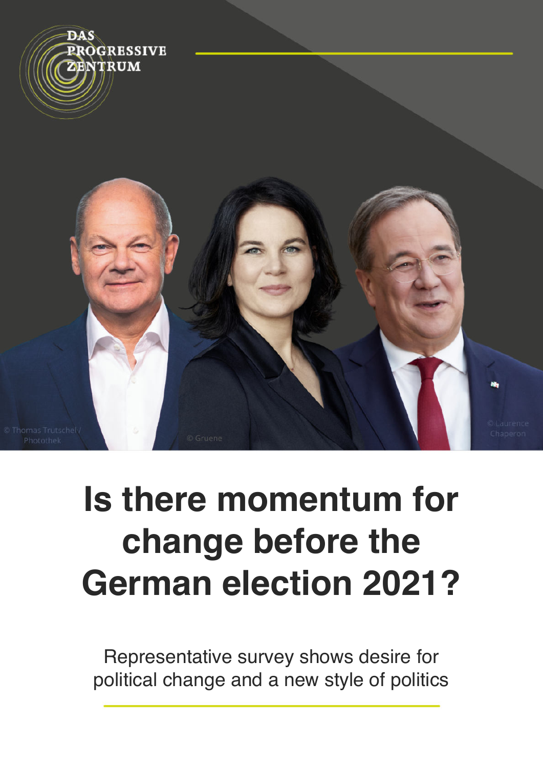

# **Is there momentum for change before the German election 2021?**

Representative survey shows desire for political change and a new style of politics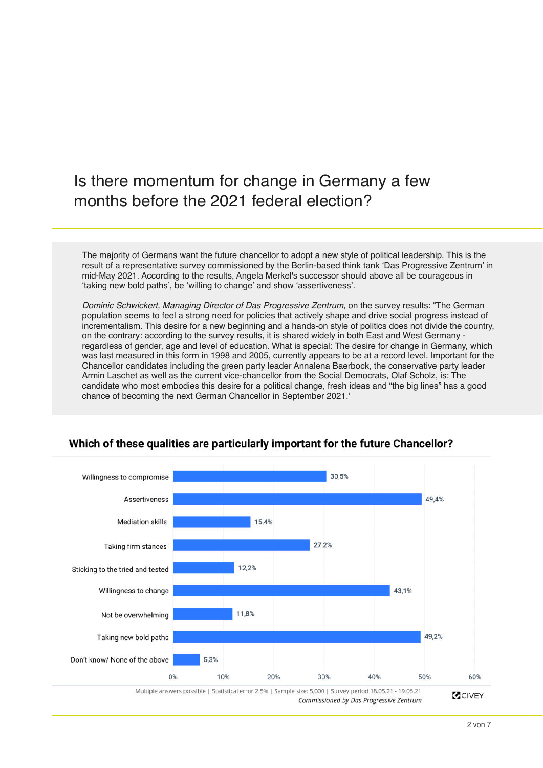### Is there momentum for change in Germany a few months before the 2021 federal election?

The majority of Germans want the future chancellor to adopt a new style of political leadership. This is the result of a representative survey commissioned by the Berlin-based think tank 'Das Progressive Zentrum' in mid-May 2021. According to the results, Angela Merkel's successor should above all be courageous in 'taking new bold paths', be 'willing to change' and show 'assertiveness'.

Dominic Schwickert, Managing Director of Das Progressive Zentrum, on the survey results: "The German population seems to feel a strong need for policies that actively shape and drive social progress instead of incrementalism. This desire for a new beginning and a hands-on style of politics does not divide the country, on the contrary: according to the survey results, it is shared widely in both East and West Germany regardless of gender, age and level of education. What is special: The desire for change in Germany, which was last measured in this form in 1998 and 2005, currently appears to be at a record level. Important for the Chancellor candidates including the green party leader Annalena Baerbock, the conservative party leader Armin Laschet as well as the current vice-chancellor from the Social Democrats, Olaf Scholz, is: The candidate who most embodies this desire for a political change, fresh ideas and "the big lines" has a good chance of becoming the next German Chancellor in September 2021.'



#### Which of these qualities are particularly important for the future Chancellor?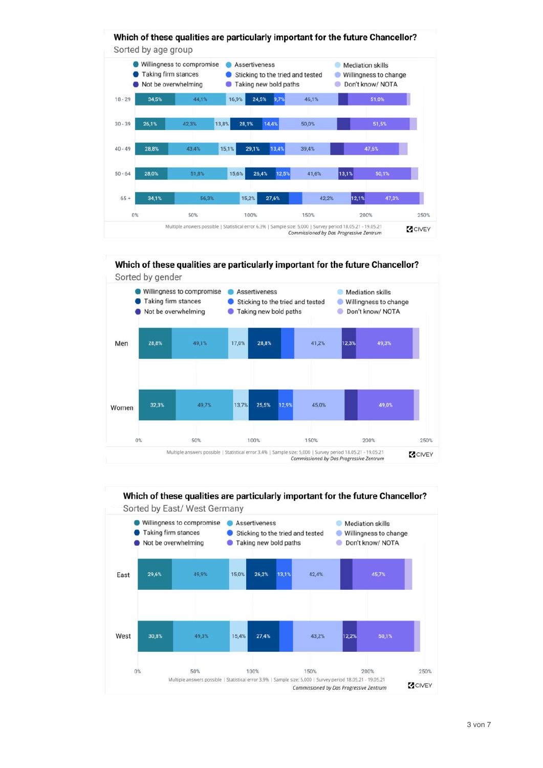



Which of these qualities are particularly important for the future Chancellor?



Which of these qualities are particularly important for the future Chancellor?

15.4% 27.4% 43.2% 12.2% 50,1% 30.8% 49.3% 50% 100% 150% 200% Multiple answers possible | Statistical error 3.9% | Sample size: 5,000 | Survey period 18.05.21 - 19.05.21

Commissioned by Das Progressive Zentrum

West

 $0%$ 

250%

**Z**CIVEY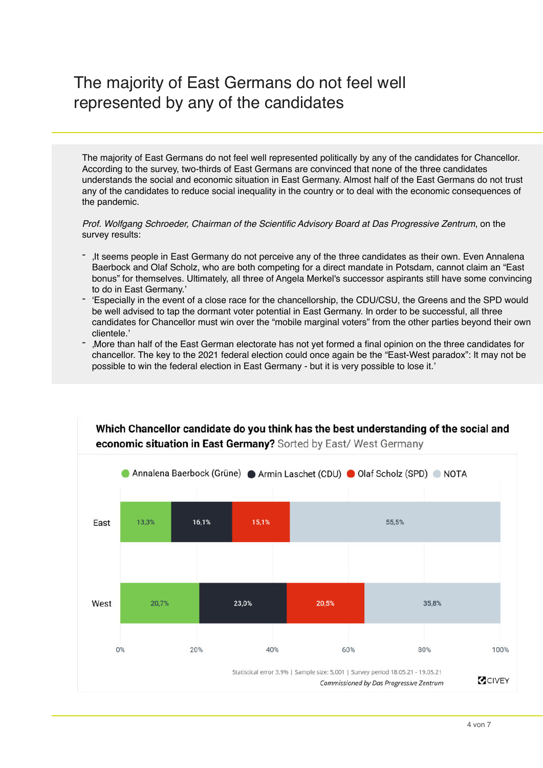## The majority of East Germans do not feel well represented by any of the candidates

The majority of East Germans do not feel well represented politically by any of the candidates for Chancellor. According to the survey, two-thirds of East Germans are convinced that none of the three candidates understands the social and economic situation in East Germany. Almost half of the East Germans do not trust any of the candidates to reduce social inequality in the country or to deal with the economic consequences of the pandemic.

Prof. Wolfgang Schroeder, Chairman of the Scientific Advisory Board at Das Progressive Zentrum, on the survey results:

- 'It seems people in East Germany do not perceive any of the three candidates as their own. Even Annalena Baerbock and Olaf Scholz, who are both competing for a direct mandate in Potsdam, cannot claim an "East bonus" for themselves. Ultimately, all three of Angela Merkel's successor aspirants still have some convincing to do in East Germany.'
- 'Especially in the event of a close race for the chancellorship, the CDU/CSU, the Greens and the SPD would be well advised to tap the dormant voter potential in East Germany. In order to be successful, all three candidates for Chancellor must win over the "mobile marginal voters" from the other parties beyond their own clientele.'
- 'More than half of the East German electorate has not yet formed a final opinion on the three candidates for chancellor. The key to the 2021 federal election could once again be the "East-West paradox": It may not be possible to win the federal election in East Germany - but it is very possible to lose it.'

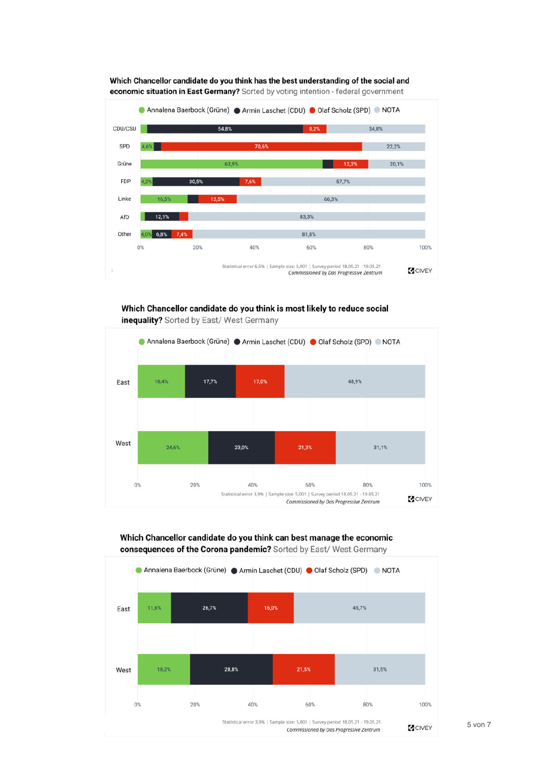





Which Chancellor candidate do you think is most likely to reduce social

inequality? Sorted by East/ West Germany



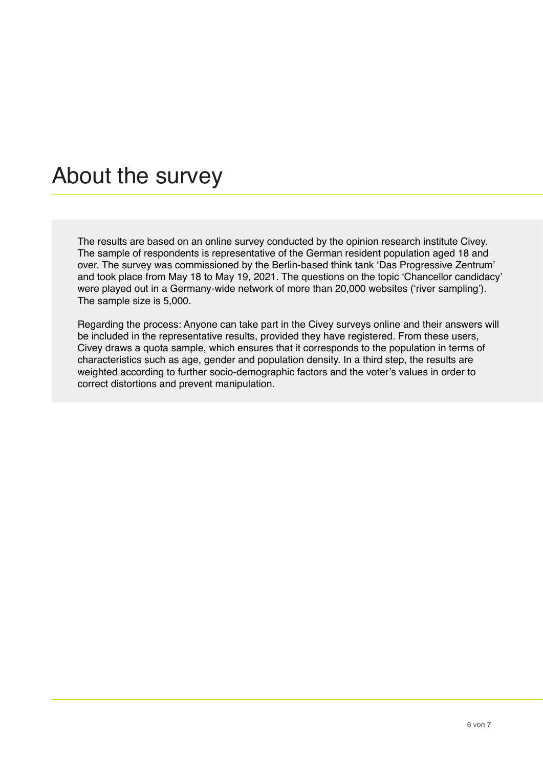# About the survey

The results are based on an online survey conducted by the opinion research institute Civey. The sample of respondents is representative of the German resident population aged 18 and over. The survey was commissioned by the Berlin-based think tank 'Das Progressive Zentrum' and took place from May 18 to May 19, 2021. The questions on the topic 'Chancellor candidacy' were played out in a Germany-wide network of more than 20,000 websites ('river sampling'). The sample size is 5,000.

Regarding the process: Anyone can take part in the Civey surveys online and their answers will be included in the representative results, provided they have registered. From these users, Civey draws a quota sample, which ensures that it corresponds to the population in terms of characteristics such as age, gender and population density. In a third step, the results are weighted according to further socio-demographic factors and the voter's values in order to correct distortions and prevent manipulation.